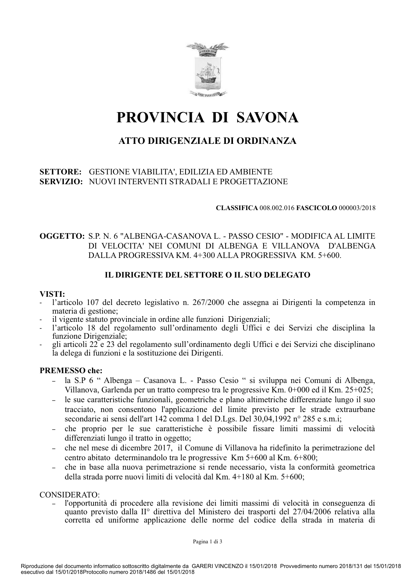

# PROVINCIA DI SAVONA

# ATTO DIRIGENZIALE DI ORDINANZA

### SETTORE: GESTIONE VIABILITA', EDILIZIA ED AMBIENTE **SERVIZIO: NUOVI INTERVENTI STRADALI E PROGETTAZIONE**

#### **CLASSIFICA 008.002.016 FASCICOLO 000003/2018**

# **OGGETTO:** S.P. N. 6 "ALBENGA-CASANOVA L. - PASSO CESIO" - MODIFICA AL LIMITE DI VELOCITA' NEI COMUNI DI ALBENGA E VILLANOVA D'ALBENGA DALLA PROGRESSIVA KM. 4+300 ALLA PROGRESSIVA KM. 5+600.

# IL DIRIGENTE DEL SETTORE O IL SUO DELEGATO

#### VISTI:

- l'articolo 107 del decreto legislativo n. 267/2000 che assegna ai Dirigenti la competenza in materia di gestione;
- il vigente statuto provinciale in ordine alle funzioni Dirigenziali:
- l'articolo 18 del regolamento sull'ordinamento degli Uffici e dei Servizi che disciplina la funzione Dirigenziale;
- gli articoli 22 e 23 del regolamento sull'ordinamento degli Uffici e dei Servizi che disciplinano la delega di funzioni e la sostituzione dei Dirigenti.

#### **PREMESSO** che:

- la S.P 6 " Albenga Casanova L. Passo Cesio " si sviluppa nei Comuni di Albenga, Villanova, Garlenda per un tratto compreso tra le progressive Km. 0+000 ed il Km. 25+025;
- le sue caratteristiche funzionali, geometriche e plano altimetriche differenziate lungo il suo tracciato, non consentono l'applicazione del limite previsto per le strade extraurbane secondarie ai sensi dell'art 142 comma 1 del D.Lgs. Del 30.04.1992 n° 285 e s.m.i:
- che proprio per le sue caratteristiche è possibile fissare limiti massimi di velocità  $\equiv$ differenziati lungo il tratto in oggetto;
- che nel mese di dicembre 2017, il Comune di Villanova ha ridefinito la perimetrazione del  $\equiv$ centro abitato determinandolo tra le progressive Km 5+600 al Km. 6+800;
- che in base alla nuova perimetrazione si rende necessario, vista la conformità geometrica  $\sim$  . della strada porre nuovi limiti di velocità dal Km. 4+180 al Km. 5+600;

#### CONSIDERATO:

l'opportunità di procedere alla revisione dei limiti massimi di velocità in conseguenza di quanto previsto dalla II<sup>°</sup> direttiva del Ministero dei trasporti del 27/04/2006 relativa alla corretta ed uniforme applicazione delle norme del codice della strada in materia di

Pagina 1 di 3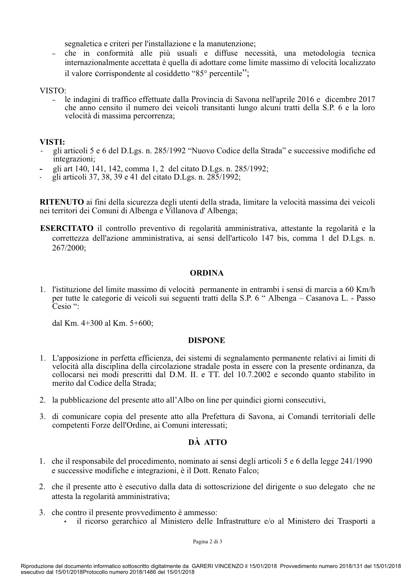segnaletica e criteri per l'installazione e la manutenzione:

che in conformità alle più usuali e diffuse necessità, una metodologia tecnica  $\equiv$ internazionalmente accettata è quella di adottare come limite massimo di velocità localizzato il valore corrispondente al cosiddetto "85° percentile";

#### VISTO:

le indagini di traffico effettuate dalla Provincia di Savona nell'aprile 2016 e dicembre 2017  $\sim$ che anno censito il numero dei veicoli transitanti lungo alcuni tratti della S.P. 6 e la loro velocità di massima percorrenza;

#### VISTI:

- gli articoli 5 e 6 del D.Lgs. n. 285/1992 "Nuovo Codice della Strada" e successive modifiche ed integrazioni;
- gli art 140, 141, 142, comma 1, 2 del citato D.Lgs, n. 285/1992;
- gli articoli 37, 38, 39 e 41 del citato D.Lgs. n. 285/1992;

RITENUTO ai fini della sicurezza degli utenti della strada, limitare la velocità massima dei veicoli nei territori dei Comuni di Albenga e Villanova d'Albenga;

ESERCITATO il controllo preventivo di regolarità amministrativa, attestante la regolarità e la correttezza dell'azione amministrativa, ai sensi dell'articolo 147 bis, comma 1 del D.Lgs. n. 267/2000:

#### **ORDINA**

1. l'istituzione del limite massimo di velocità permanente in entrambi i sensi di marcia a 60 Km/h per tutte le categorie di veicoli sui seguenti tratti della S.P. 6 " Albenga – Casanova L. - Passo  $\tilde{C}$ esio ":

dal Km. 4+300 al Km. 5+600:

#### **DISPONE**

- 1. L'apposizione in perfetta efficienza, dei sistemi di segnalamento permanente relativi ai limiti di velocità alla disciplina della circolazione stradale posta in essere con la presente ordinanza, da collocarsi nei modi prescritti dal D.M. II. e TT. del 10.7.2002 e secondo quanto stabilito in merito dal Codice della Strada;
- 2. la pubblicazione del presente atto all'Albo on line per quindici giorni consecutivi,
- 3. di comunicare copia del presente atto alla Prefettura di Savona, ai Comandi territoriali delle competenti Forze dell'Ordine, ai Comuni interessati;

# DÀ ATTO

- 1. che il responsabile del procedimento, nominato ai sensi degli articoli 5 e 6 della legge 241/1990 e successive modifiche e integrazioni, è il Dott. Renato Falco:
- 2. che il presente atto è esecutivo dalla data di sottoscrizione del dirigente o suo delegato che ne attesta la regolarità amministrativa:
- 3. che contro il presente provvedimento è ammesso:
	- il ricorso gerarchico al Ministero delle Infrastrutture e/o al Ministero dei Trasporti a